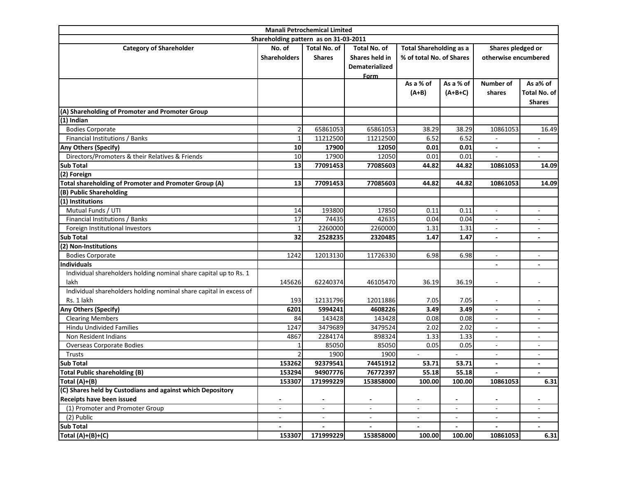| <b>Manali Petrochemical Limited</b>                                |                                       |                |                     |                                |           |                          |                          |
|--------------------------------------------------------------------|---------------------------------------|----------------|---------------------|--------------------------------|-----------|--------------------------|--------------------------|
|                                                                    | Shareholding pattern as on 31-03-2011 |                |                     |                                |           |                          |                          |
| <b>Category of Shareholder</b>                                     | No. of                                | Total No. of   | <b>Total No. of</b> | <b>Total Shareholding as a</b> |           | Shares pledged or        |                          |
|                                                                    | <b>Shareholders</b>                   | <b>Shares</b>  | Shares held in      | % of total No. of Shares       |           | otherwise encumbered     |                          |
|                                                                    |                                       |                | Dematerialized      |                                |           |                          |                          |
|                                                                    |                                       |                | Form                |                                |           |                          |                          |
|                                                                    |                                       |                |                     | As a % of                      | As a % of | <b>Number of</b>         | As a% of                 |
|                                                                    |                                       |                |                     | $(A+B)$                        | $(A+B+C)$ | shares                   | Total No. of             |
|                                                                    |                                       |                |                     |                                |           |                          | <b>Shares</b>            |
| (A) Shareholding of Promoter and Promoter Group                    |                                       |                |                     |                                |           |                          |                          |
| (1) Indian                                                         |                                       |                |                     |                                |           |                          |                          |
| <b>Bodies Corporate</b>                                            | 2                                     | 65861053       | 65861053            | 38.29                          | 38.29     | 10861053                 | 16.49                    |
| Financial Institutions / Banks                                     | 1                                     | 11212500       | 11212500            | 6.52                           | 6.52      |                          |                          |
| <b>Any Others (Specify)</b>                                        | 10                                    | 17900          | 12050               | 0.01                           | 0.01      | $\blacksquare$           | $\overline{a}$           |
| Directors/Promoters & their Relatives & Friends                    | 10                                    | 17900          | 12050               | 0.01                           | 0.01      |                          |                          |
| <b>Sub Total</b>                                                   | 13                                    | 77091453       | 77085603            | 44.82                          | 44.82     | 10861053                 | 14.09                    |
| (2) Foreign                                                        |                                       |                |                     |                                |           |                          |                          |
| <b>Total shareholding of Promoter and Promoter Group (A)</b>       | 13                                    | 77091453       | 77085603            | 44.82                          | 44.82     | 10861053                 | 14.09                    |
| (B) Public Shareholding                                            |                                       |                |                     |                                |           |                          |                          |
| (1) Institutions                                                   |                                       |                |                     |                                |           |                          |                          |
| Mutual Funds / UTI                                                 | 14                                    | 193800         | 17850               | 0.11                           | 0.11      | $\blacksquare$           | ÷                        |
| Financial Institutions / Banks                                     | 17                                    | 74435          | 42635               | 0.04                           | 0.04      | $\overline{\phantom{a}}$ |                          |
| Foreign Institutional Investors                                    |                                       | 2260000        | 2260000             | 1.31                           | 1.31      | $\overline{\phantom{a}}$ | $\overline{\phantom{a}}$ |
| <b>Sub Total</b>                                                   | 32                                    | 2528235        | 2320485             | 1.47                           | 1.47      | $\overline{\phantom{a}}$ | $\overline{\phantom{a}}$ |
| (2) Non-Institutions                                               |                                       |                |                     |                                |           |                          |                          |
| <b>Bodies Corporate</b>                                            | 1242                                  | 12013130       | 11726330            | 6.98                           | 6.98      | $\blacksquare$           | $\sim$                   |
| <b>Individuals</b>                                                 |                                       |                |                     |                                |           |                          |                          |
| Individual shareholders holding nominal share capital up to Rs. 1  |                                       |                |                     |                                |           |                          |                          |
| lakh                                                               | 145626                                | 62240374       | 46105470            | 36.19                          | 36.19     | $\overline{a}$           | $\blacksquare$           |
| Individual shareholders holding nominal share capital in excess of |                                       |                |                     |                                |           |                          |                          |
| Rs. 1 lakh                                                         | 193                                   | 12131796       | 12011886            | 7.05                           | 7.05      |                          |                          |
| Any Others (Specify)                                               | 6201                                  | 5994241        | 4608226             | 3.49                           | 3.49      | $\overline{a}$           |                          |
| <b>Clearing Members</b>                                            | 84                                    | 143428         | 143428              | 0.08                           | 0.08      | $\overline{a}$           |                          |
| <b>Hindu Undivided Families</b>                                    | 1247                                  | 3479689        | 3479524             | 2.02                           | 2.02      | $\overline{\phantom{a}}$ |                          |
| Non Resident Indians                                               | 4867                                  | 2284174        | 898324              | 1.33                           | 1.33      | $\overline{a}$           | ٠                        |
| <b>Overseas Corporate Bodies</b>                                   |                                       | 85050          | 85050               | 0.05                           | 0.05      | ÷,                       | $\overline{\phantom{a}}$ |
| Trusts                                                             |                                       | 1900           | 1900                | $\blacksquare$                 |           | $\overline{\phantom{a}}$ | $\overline{\phantom{a}}$ |
| <b>Sub Total</b>                                                   | 153262                                | 92379541       | 74451912            | 53.71                          | 53.71     |                          |                          |
| <b>Total Public shareholding (B)</b>                               | 153294                                | 94907776       | 76772397            | 55.18                          | 55.18     | $\blacksquare$           | $\blacksquare$           |
| Total (A)+(B)                                                      | 153307                                | 171999229      | 153858000           | 100.00                         | 100.00    | 10861053                 | 6.31                     |
| (C) Shares held by Custodians and against which Depository         |                                       |                |                     |                                |           |                          |                          |
| Receipts have been issued                                          | $\overline{\phantom{a}}$              |                |                     |                                |           |                          |                          |
| (1) Promoter and Promoter Group                                    | $\overline{\phantom{a}}$              | $\blacksquare$ | $\blacksquare$      | $\blacksquare$                 |           |                          |                          |
| (2) Public                                                         |                                       |                | $\sim$              |                                |           |                          |                          |
| <b>Sub Total</b>                                                   |                                       |                | $\blacksquare$      |                                |           | $\blacksquare$           |                          |
| Total (A)+(B)+(C)                                                  | 153307                                | 171999229      | 153858000           | 100.00                         | 100.00    | 10861053                 | 6.31                     |